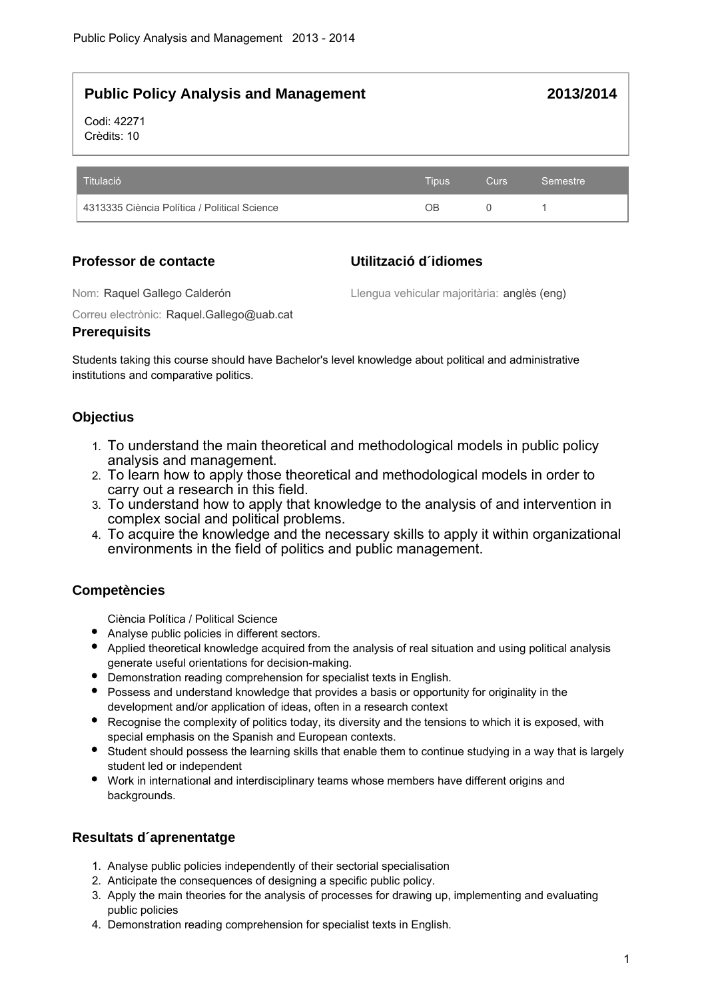**2013/2014**

Codi: 42271 Crèdits: 10

| Titulació                                    | <b>Tipus</b> | <b>Curs</b> | Semestre |
|----------------------------------------------|--------------|-------------|----------|
| 4313335 Ciència Política / Political Science | ΟB           |             |          |

# **Professor de contacte**

# **Utilització d´idiomes**

Nom: Raquel Gallego Calderón

Llengua vehicular majoritària: anglès (eng)

Correu electrònic: Raquel.Gallego@uab.cat

# **Prerequisits**

Students taking this course should have Bachelor's level knowledge about political and administrative institutions and comparative politics.

# **Objectius**

- 1. To understand the main theoretical and methodological models in public policy analysis and management.
- 2. To learn how to apply those theoretical and methodological models in order to carry out a research in this field.
- 3. To understand how to apply that knowledge to the analysis of and intervention in complex social and political problems.
- 4. To acquire the knowledge and the necessary skills to apply it within organizational environments in the field of politics and public management.

# **Competències**

Ciència Política / Political Science

- Analyse public policies in different sectors.
- Applied theoretical knowledge acquired from the analysis of real situation and using political analysis generate useful orientations for decision-making.
- Demonstration reading comprehension for specialist texts in English.
- Possess and understand knowledge that provides a basis or opportunity for originality in the development and/or application of ideas, often in a research context
- Recognise the complexity of politics today, its diversity and the tensions to which it is exposed, with special emphasis on the Spanish and European contexts.
- Student should possess the learning skills that enable them to continue studying in a way that is largely student led or independent
- Work in international and interdisciplinary teams whose members have different origins and backgrounds.

# **Resultats d´aprenentatge**

- 1. Analyse public policies independently of their sectorial specialisation
- 2. Anticipate the consequences of designing a specific public policy.
- 3. Apply the main theories for the analysis of processes for drawing up, implementing and evaluating public policies
- 4. Demonstration reading comprehension for specialist texts in English.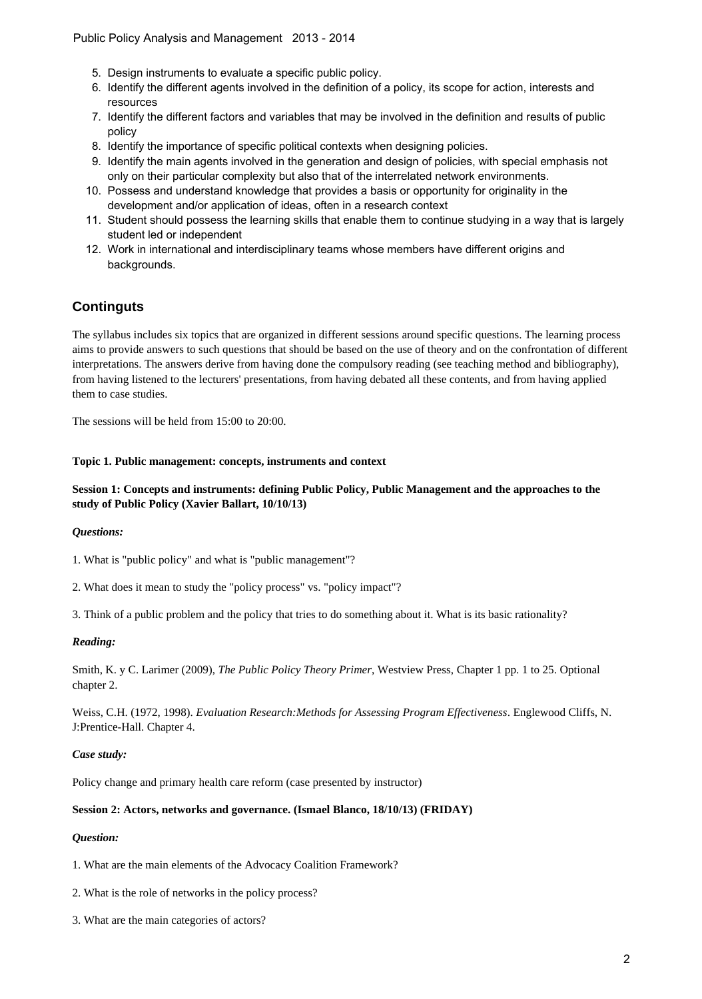- 5. Design instruments to evaluate a specific public policy.
- 6. Identify the different agents involved in the definition of a policy, its scope for action, interests and resources
- 7. Identify the different factors and variables that may be involved in the definition and results of public policy
- 8. Identify the importance of specific political contexts when designing policies.
- 9. Identify the main agents involved in the generation and design of policies, with special emphasis not only on their particular complexity but also that of the interrelated network environments.
- 10. Possess and understand knowledge that provides a basis or opportunity for originality in the development and/or application of ideas, often in a research context
- 11. Student should possess the learning skills that enable them to continue studying in a way that is largely student led or independent
- 12. Work in international and interdisciplinary teams whose members have different origins and backgrounds.

# **Continguts**

The syllabus includes six topics that are organized in different sessions around specific questions. The learning process aims to provide answers to such questions that should be based on the use of theory and on the confrontation of different interpretations. The answers derive from having done the compulsory reading (see teaching method and bibliography), from having listened to the lecturers' presentations, from having debated all these contents, and from having applied them to case studies.

The sessions will be held from 15:00 to 20:00.

#### **Topic 1. Public management: concepts, instruments and context**

## **Session 1: Concepts and instruments: defining Public Policy, Public Management and the approaches to the study of Public Policy (Xavier Ballart, 10/10/13)**

### *Questions:*

1. What is "public policy" and what is "public management"?

2. What does it mean to study the "policy process" vs. "policy impact"?

3. Think of a public problem and the policy that tries to do something about it. What is its basic rationality?

### *Reading:*

Smith, K. y C. Larimer (2009), *The Public Policy Theory Primer*, Westview Press, Chapter 1 pp. 1 to 25. Optional chapter 2.

Weiss, C.H. (1972, 1998). *Evaluation Research:Methods for Assessing Program Effectiveness*. Englewood Cliffs, N. J:Prentice-Hall. Chapter 4.

#### *Case study:*

Policy change and primary health care reform (case presented by instructor)

## **Session 2: Actors, networks and governance. (Ismael Blanco, 18/10/13) (FRIDAY)**

## *Question:*

1. What are the main elements of the Advocacy Coalition Framework?

- 2. What is the role of networks in the policy process?
- 3. What are the main categories of actors?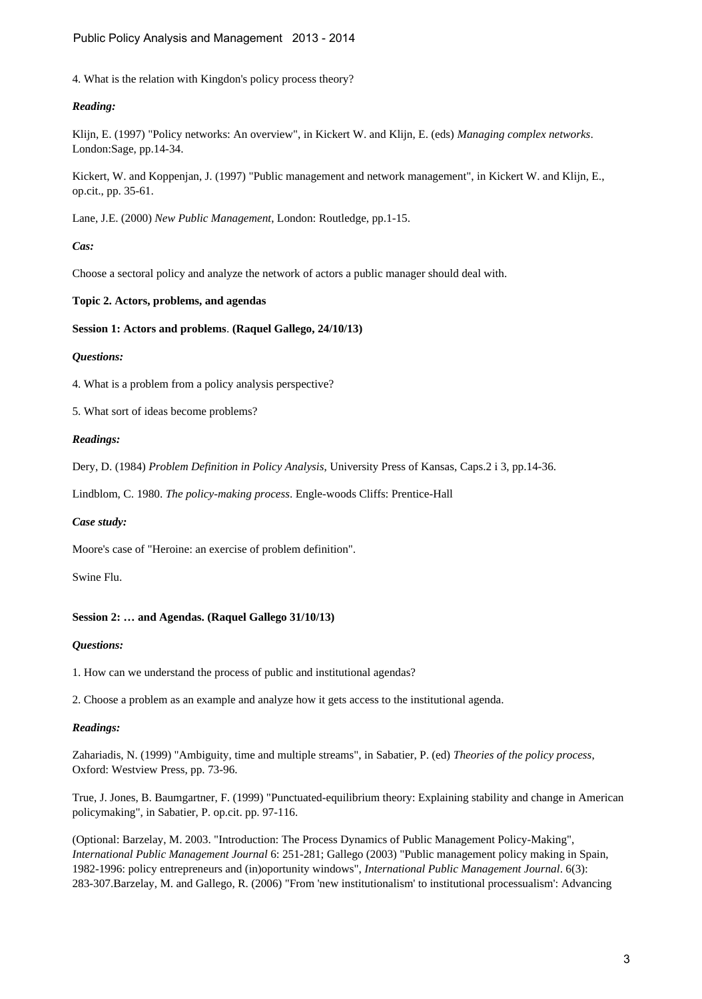4. What is the relation with Kingdon's policy process theory?

### *Reading:*

Klijn, E. (1997) "Policy networks: An overview", in Kickert W. and Klijn, E. (eds) *Managing complex networks*. London:Sage, pp.14-34.

Kickert, W. and Koppenjan, J. (1997) "Public management and network management", in Kickert W. and Klijn, E., op.cit., pp. 35-61.

Lane, J.E. (2000) *New Public Management*, London: Routledge, pp.1-15.

#### *Cas:*

Choose a sectoral policy and analyze the network of actors a public manager should deal with.

#### **Topic 2. Actors, problems, and agendas**

#### **Session 1: Actors and problems**. **(Raquel Gallego, 24/10/13)**

### *Questions:*

4. What is a problem from a policy analysis perspective?

5. What sort of ideas become problems?

#### *Readings:*

Dery, D. (1984) *Problem Definition in Policy Analysis*, University Press of Kansas, Caps.2 i 3, pp.14-36.

Lindblom, C. 1980. *The policy-making process*. Engle-woods Cliffs: Prentice-Hall

#### *Case study:*

Moore's case of "Heroine: an exercise of problem definition".

Swine Flu.

## **Session 2: … and Agendas. (Raquel Gallego 31/10/13)**

#### *Questions:*

1. How can we understand the process of public and institutional agendas?

2. Choose a problem as an example and analyze how it gets access to the institutional agenda.

#### *Readings:*

Zahariadis, N. (1999) "Ambiguity, time and multiple streams", in Sabatier, P. (ed) *Theories of the policy process*, Oxford: Westview Press, pp. 73-96.

True, J. Jones, B. Baumgartner, F. (1999) "Punctuated-equilibrium theory: Explaining stability and change in American policymaking", in Sabatier, P. op.cit. pp. 97-116.

(Optional: Barzelay, M. 2003. "Introduction: The Process Dynamics of Public Management Policy-Making", *International Public Management Journal* 6: 251-281; Gallego (2003) "Public management policy making in Spain, 1982-1996: policy entrepreneurs and (in)oportunity windows", *International Public Management Journal*. 6(3): 283-307.Barzelay, M. and Gallego, R. (2006) "From 'new institutionalism' to institutional processualism': Advancing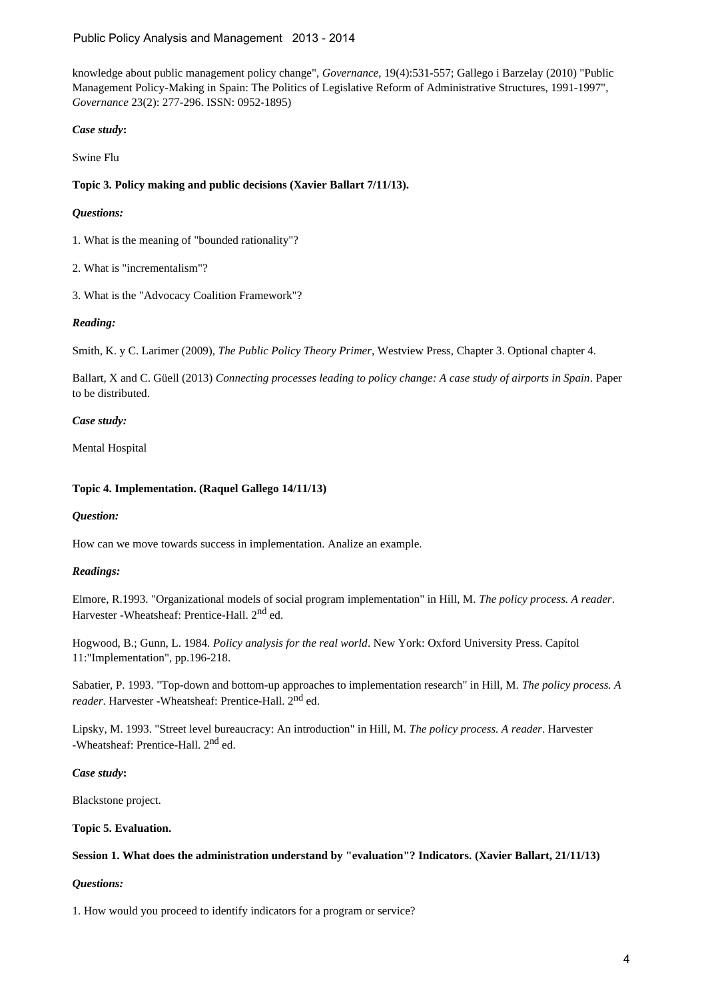knowledge about public management policy change", *Governance*, 19(4):531-557; Gallego i Barzelay (2010) "Public Management Policy-Making in Spain: The Politics of Legislative Reform of Administrative Structures, 1991-1997", *Governance* 23(2): 277-296. ISSN: 0952-1895)

*Case study***:**

Swine Flu

**Topic 3. Policy making and public decisions (Xavier Ballart 7/11/13).**

## *Questions:*

1. What is the meaning of "bounded rationality"?

2. What is "incrementalism"?

3. What is the "Advocacy Coalition Framework"?

## *Reading:*

Smith, K. y C. Larimer (2009), *The Public Policy Theory Primer*, Westview Press, Chapter 3. Optional chapter 4.

Ballart, X and C. Güell (2013) *Connecting processes leading to policy change: A case study of airports in Spain*. Paper to be distributed.

## *Case study:*

Mental Hospital

## **Topic 4. Implementation. (Raquel Gallego 14/11/13)**

## *Question:*

How can we move towards success in implementation. Analize an example.

## *Readings:*

Elmore, R.1993. "Organizational models of social program implementation" in Hill, M. *The policy process. A reader*. Harvester -Wheatsheaf: Prentice-Hall. 2<sup>nd</sup> ed.

Hogwood, B.; Gunn, L. 1984. *Policy analysis for the real world*. New York: Oxford University Press. Capítol 11:"Implementation", pp.196-218.

Sabatier, P. 1993. "Top-down and bottom-up approaches to implementation research" in Hill, M. *The policy process. A* reader. Harvester -Wheatsheaf: Prentice-Hall. 2<sup>nd</sup> ed.

Lipsky, M. 1993. "Street level bureaucracy: An introduction" in Hill, M. *The policy process. A reader*. Harvester -Wheatsheaf: Prentice-Hall. 2<sup>nd</sup> ed.

### *Case study***:**

Blackstone project.

### **Topic 5. Evaluation.**

### **Session 1. What does the administration understand by "evaluation"? Indicators. (Xavier Ballart, 21/11/13)**

## *Questions:*

1. How would you proceed to identify indicators for a program or service?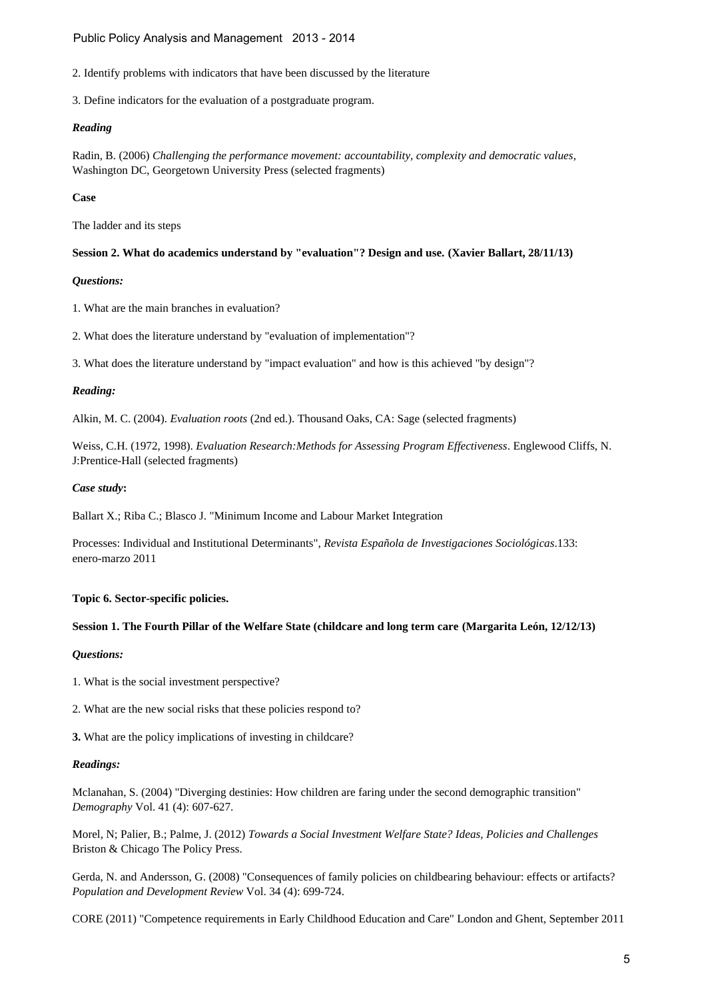2. Identify problems with indicators that have been discussed by the literature

3. Define indicators for the evaluation of a postgraduate program.

## *Reading*

Radin, B. (2006) *Challenging the performance movement: accountability, complexity and democratic values*, Washington DC, Georgetown University Press (selected fragments)

## **Case**

The ladder and its steps

## **Session 2. What do academics understand by "evaluation"? Design and use. (Xavier Ballart, 28/11/13)**

## *Questions:*

1. What are the main branches in evaluation?

2. What does the literature understand by "evaluation of implementation"?

3. What does the literature understand by "impact evaluation" and how is this achieved "by design"?

## *Reading:*

Alkin, M. C. (2004). *Evaluation roots* (2nd ed.). Thousand Oaks, CA: Sage (selected fragments)

Weiss, C.H. (1972, 1998). *Evaluation Research:Methods for Assessing Program Effectiveness*. Englewood Cliffs, N. J:Prentice-Hall (selected fragments)

## *Case study***:**

Ballart X.; Riba C.; Blasco J. "Minimum Income and Labour Market Integration

Processes: Individual and Institutional Determinants", *Revista Española de Investigaciones Sociológicas*.133: enero-marzo 2011

### **Topic 6. Sector-specific policies.**

### **Session 1. The Fourth Pillar of the Welfare State (childcare and long term care (Margarita León, 12/12/13)**

## *Questions:*

1. What is the social investment perspective?

2. What are the new social risks that these policies respond to?

**3.** What are the policy implications of investing in childcare?

### *Readings:*

Mclanahan, S. (2004) "Diverging destinies: How children are faring under the second demographic transition" *Demography* Vol. 41 (4): 607-627.

Morel, N; Palier, B.; Palme, J. (2012) *Towards a Social Investment Welfare State? Ideas, Policies and Challenges* Briston & Chicago The Policy Press.

Gerda, N. and Andersson, G. (2008) "Consequences of family policies on childbearing behaviour: effects or artifacts? *Population and Development Review* Vol. 34 (4): 699-724.

CORE (2011) "Competence requirements in Early Childhood Education and Care" London and Ghent, September 2011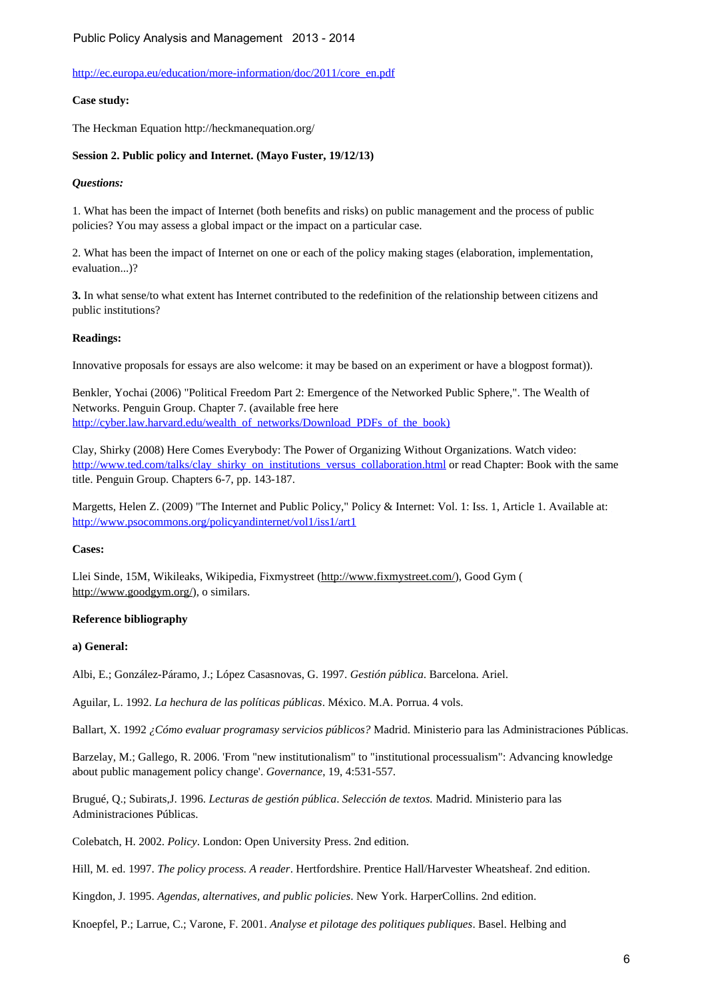### [http://ec.europa.eu/education/more-information/doc/2011/core\\_en.pdf](http://ec.europa.eu/education/more-information/doc/2011/core_en.pdf)

### **Case study:**

The Heckman Equation http://heckmanequation.org/

### **Session 2. Public policy and Internet. (Mayo Fuster, 19/12/13)**

### *Questions:*

1. What has been the impact of Internet (both benefits and risks) on public management and the process of public policies? You may assess a global impact or the impact on a particular case.

2. What has been the impact of Internet on one or each of the policy making stages (elaboration, implementation, evaluation...)?

**3.** In what sense/to what extent has Internet contributed to the redefinition of the relationship between citizens and public institutions?

#### **Readings:**

Innovative proposals for essays are also welcome: it may be based on an experiment or have a blogpost format)).

Benkler, Yochai (2006) "Political Freedom Part 2: Emergence of the Networked Public Sphere,". The Wealth of Networks. Penguin Group. Chapter 7. (available free here [http://cyber.law.harvard.edu/wealth\\_of\\_networks/Download\\_PDFs\\_of\\_the\\_book\)](http://cyber.law.harvard.edu/wealth_of_networks/Download_PDFs_of_the_book))

Clay, Shirky (2008) Here Comes Everybody: The Power of Organizing Without Organizations. Watch video: [http://www.ted.com/talks/clay\\_shirky\\_on\\_institutions\\_versus\\_collaboration.html](http://www.ted.com/talks/clay_shirky_on_institutions_versus_collaboration.html) or read Chapter: Book with the same title. Penguin Group. Chapters 6-7, pp. 143-187.

Margetts, Helen Z. (2009) "The Internet and Public Policy," Policy & Internet: Vol. 1: Iss. 1, Article 1. Available at: <http://www.psocommons.org/policyandinternet/vol1/iss1/art1>

#### **Cases:**

Llei Sinde, 15M, Wikileaks, Wikipedia, Fixmystreet (http://www.fixmystreet.com/), Good Gym ( http://www.goodgym.org/), o similars.

### **Reference bibliography**

### **a) General:**

Albi, E.; González-Páramo, J.; López Casasnovas, G. 1997. *Gestión pública*. Barcelona. Ariel.

Aguilar, L. 1992. *La hechura de las políticas públicas*. México. M.A. Porrua. 4 vols.

Ballart, X. 1992 *¿Cómo evaluar programasy servicios públicos?* Madrid. Ministerio para las Administraciones Públicas.

Barzelay, M.; Gallego, R. 2006. 'From "new institutionalism" to "institutional processualism": Advancing knowledge about public management policy change'. *Governance*, 19, 4:531-557.

Brugué, Q.; Subirats,J. 1996. *Lecturas de gestión pública*. *Selección de textos.* Madrid. Ministerio para las Administraciones Públicas.

Colebatch, H. 2002. *Policy*. London: Open University Press. 2nd edition.

Hill, M. ed. 1997. *The policy process. A reader*. Hertfordshire. Prentice Hall/Harvester Wheatsheaf. 2nd edition.

Kingdon, J. 1995. *Agendas, alternatives, and public policies*. New York. HarperCollins. 2nd edition.

Knoepfel, P.; Larrue, C.; Varone, F. 2001. *Analyse et pilotage des politiques publiques*. Basel. Helbing and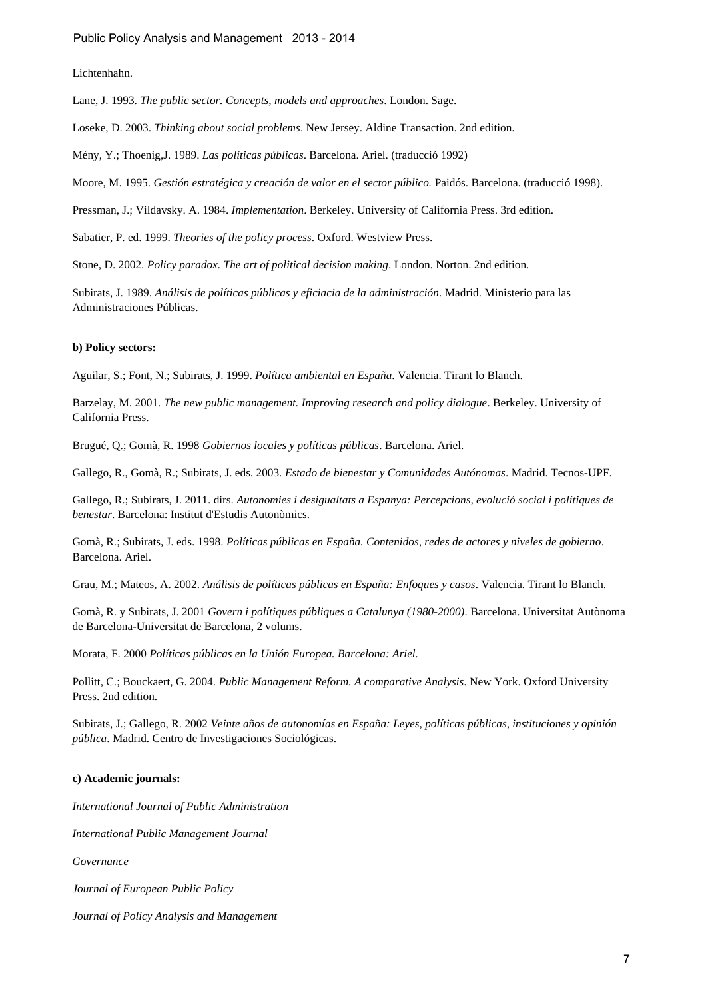Lichtenhahn.

Lane, J. 1993. *The public sector. Concepts, models and approaches*. London. Sage.

Loseke, D. 2003. *Thinking about social problems*. New Jersey. Aldine Transaction. 2nd edition.

Mény, Y.; Thoenig,J. 1989. *Las políticas públicas*. Barcelona. Ariel. (traducció 1992)

Moore, M. 1995. *Gestión estratégica y creación de valor en el sector público.* Paidós. Barcelona. (traducció 1998).

Pressman, J.; Vildavsky. A. 1984. *Implementation*. Berkeley. University of California Press. 3rd edition.

Sabatier, P. ed. 1999. *Theories of the policy process*. Oxford. Westview Press.

Stone, D. 2002. *Policy paradox. The art of political decision making*. London. Norton. 2nd edition.

Subirats, J. 1989. *Análisis de políticas públicas y eficiacia de la administración*. Madrid. Ministerio para las Administraciones Públicas.

#### **b) Policy sectors:**

Aguilar, S.; Font, N.; Subirats, J. 1999. *Política ambiental en España*. Valencia. Tirant lo Blanch.

Barzelay, M. 2001. *The new public management. Improving research and policy dialogue*. Berkeley. University of California Press.

Brugué, Q.; Gomà, R. 1998 *Gobiernos locales y políticas públicas*. Barcelona. Ariel.

Gallego, R., Gomà, R.; Subirats, J. eds. 2003. *Estado de bienestar y Comunidades Autónomas*. Madrid. Tecnos-UPF.

Gallego, R.; Subirats, J. 2011. dirs. *Autonomies i desigualtats a Espanya: Percepcions, evolució social i polítiques de benestar*. Barcelona: Institut d'Estudis Autonòmics.

Gomà, R.; Subirats, J. eds. 1998. *Políticas públicas en España. Contenidos, redes de actores y niveles de gobierno*. Barcelona. Ariel.

Grau, M.; Mateos, A. 2002. *Análisis de políticas públicas en España: Enfoques y casos*. Valencia. Tirant lo Blanch.

Gomà, R. y Subirats, J. 2001 *Govern i polítiques públiques a Catalunya (1980-2000)*. Barcelona. Universitat Autònoma de Barcelona-Universitat de Barcelona, 2 volums.

Morata, F. 2000 *Políticas públicas en la Unión Europea. Barcelona: Ariel.*

Pollitt, C.; Bouckaert, G. 2004. *Public Management Reform. A comparative Analysis*. New York. Oxford University Press. 2nd edition.

Subirats, J.; Gallego, R. 2002 *Veinte años de autonomías en España: Leyes, políticas públicas, instituciones y opinión pública*. Madrid. Centro de Investigaciones Sociológicas.

#### **c) Academic journals:**

*International Journal of Public Administration*

*International Public Management Journal*

*Governance*

*Journal of European Public Policy*

*Journal of Policy Analysis and Management*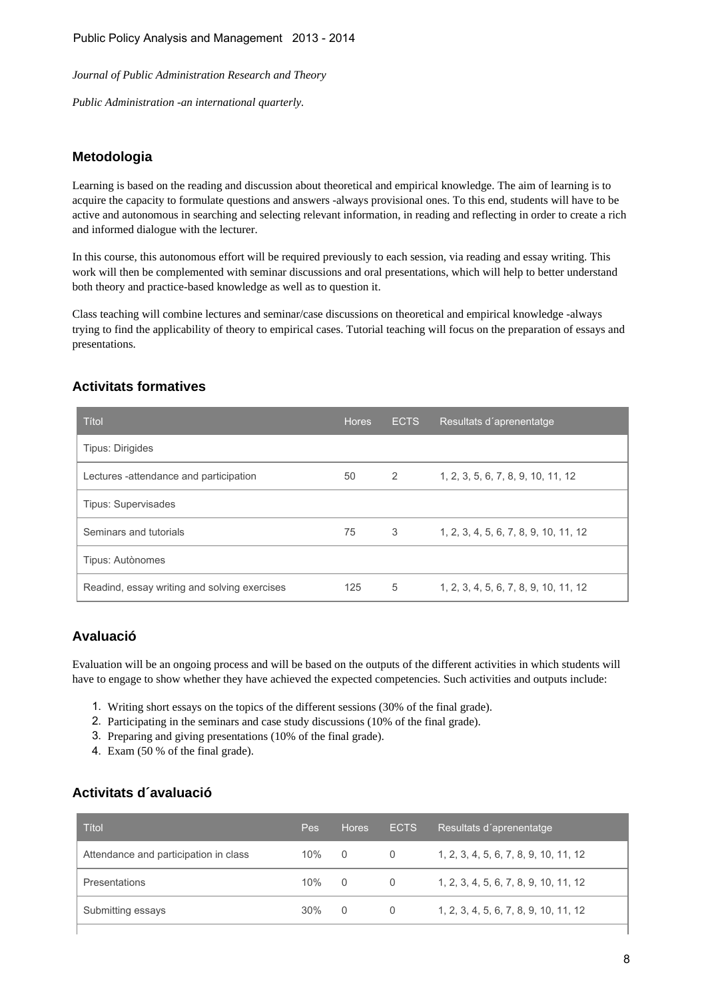*Journal of Public Administration Research and Theory*

*Public Administration -an international quarterly.*

# **Metodologia**

Learning is based on the reading and discussion about theoretical and empirical knowledge. The aim of learning is to acquire the capacity to formulate questions and answers -always provisional ones. To this end, students will have to be active and autonomous in searching and selecting relevant information, in reading and reflecting in order to create a rich and informed dialogue with the lecturer.

In this course, this autonomous effort will be required previously to each session, via reading and essay writing. This work will then be complemented with seminar discussions and oral presentations, which will help to better understand both theory and practice-based knowledge as well as to question it.

Class teaching will combine lectures and seminar/case discussions on theoretical and empirical knowledge -always trying to find the applicability of theory to empirical cases. Tutorial teaching will focus on the preparation of essays and presentations.

# **Activitats formatives**

| Títol                                        | <b>Hores</b> | <b>ECTS</b> | Resultats d'aprenentatge              |
|----------------------------------------------|--------------|-------------|---------------------------------------|
| <b>Tipus: Dirigides</b>                      |              |             |                                       |
| Lectures -attendance and participation       | 50           | 2           | 1, 2, 3, 5, 6, 7, 8, 9, 10, 11, 12    |
| <b>Tipus: Supervisades</b>                   |              |             |                                       |
| Seminars and tutorials                       | 75           | 3           | 1, 2, 3, 4, 5, 6, 7, 8, 9, 10, 11, 12 |
| Tipus: Autònomes                             |              |             |                                       |
| Readind, essay writing and solving exercises | 125          | 5           | 1, 2, 3, 4, 5, 6, 7, 8, 9, 10, 11, 12 |

# **Avaluació**

Evaluation will be an ongoing process and will be based on the outputs of the different activities in which students will have to engage to show whether they have achieved the expected competencies. Such activities and outputs include:

- 1. Writing short essays on the topics of the different sessions (30% of the final grade).
- 2. Participating in the seminars and case study discussions (10% of the final grade).
- 3. Preparing and giving presentations (10% of the final grade).
- 4. Exam (50 % of the final grade).

# **Activitats d´avaluació**

| Títol                                 | <b>Pes</b> | <b>Hores</b>   | <b>ECTS</b> | Resultats d'aprenentatge              |
|---------------------------------------|------------|----------------|-------------|---------------------------------------|
| Attendance and participation in class | 10%        | $\overline{0}$ | $\Omega$    | 1, 2, 3, 4, 5, 6, 7, 8, 9, 10, 11, 12 |
| <b>Presentations</b>                  | 10%        | $\overline{0}$ | $\Omega$    | 1, 2, 3, 4, 5, 6, 7, 8, 9, 10, 11, 12 |
| Submitting essays                     | $30\%$     | - 0            | $\Omega$    | 1, 2, 3, 4, 5, 6, 7, 8, 9, 10, 11, 12 |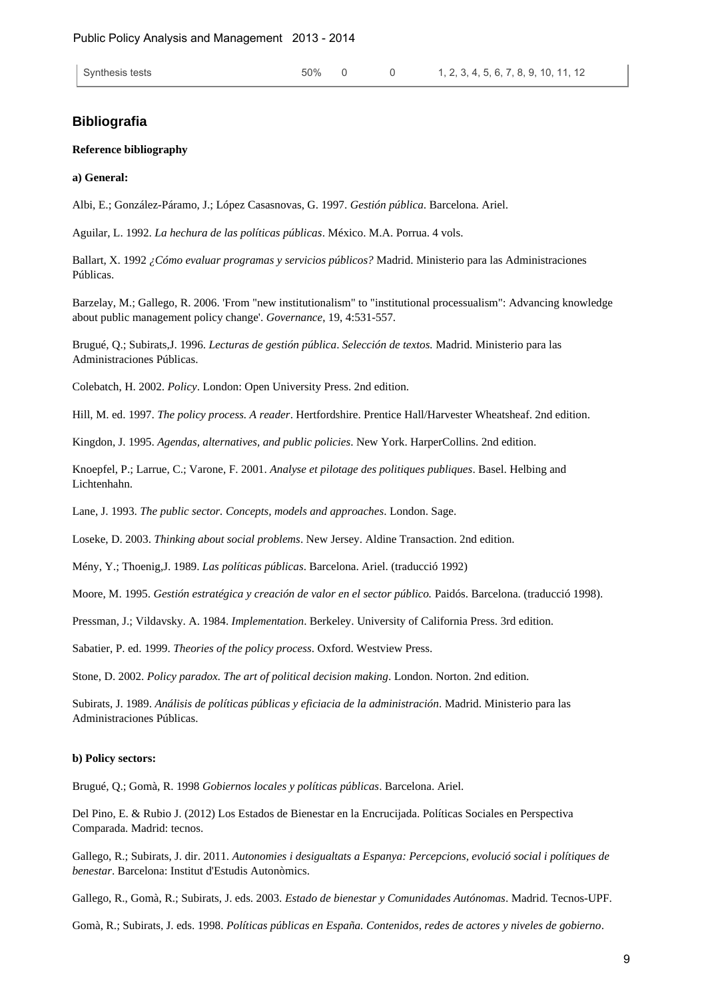### **Bibliografia**

#### **Reference bibliography**

#### **a) General:**

Albi, E.; González-Páramo, J.; López Casasnovas, G. 1997. *Gestión pública*. Barcelona. Ariel.

Aguilar, L. 1992. *La hechura de las políticas públicas*. México. M.A. Porrua. 4 vols.

Ballart, X. 1992 *¿Cómo evaluar programas y servicios públicos?* Madrid. Ministerio para las Administraciones Públicas.

Barzelay, M.; Gallego, R. 2006. 'From "new institutionalism" to "institutional processualism": Advancing knowledge about public management policy change'. *Governance*, 19, 4:531-557.

Brugué, Q.; Subirats,J. 1996. *Lecturas de gestión pública*. *Selección de textos.* Madrid. Ministerio para las Administraciones Públicas.

Colebatch, H. 2002. *Policy*. London: Open University Press. 2nd edition.

Hill, M. ed. 1997. *The policy process. A reader*. Hertfordshire. Prentice Hall/Harvester Wheatsheaf. 2nd edition.

Kingdon, J. 1995. *Agendas, alternatives, and public policies*. New York. HarperCollins. 2nd edition.

Knoepfel, P.; Larrue, C.; Varone, F. 2001. *Analyse et pilotage des politiques publiques*. Basel. Helbing and Lichtenhahn.

Lane, J. 1993. *The public sector. Concepts, models and approaches*. London. Sage.

Loseke, D. 2003. *Thinking about social problems*. New Jersey. Aldine Transaction. 2nd edition.

Mény, Y.; Thoenig,J. 1989. *Las políticas públicas*. Barcelona. Ariel. (traducció 1992)

Moore, M. 1995. *Gestión estratégica y creación de valor en el sector público.* Paidós. Barcelona. (traducció 1998).

Pressman, J.; Vildavsky. A. 1984. *Implementation*. Berkeley. University of California Press. 3rd edition.

Sabatier, P. ed. 1999. *Theories of the policy process*. Oxford. Westview Press.

Stone, D. 2002. *Policy paradox. The art of political decision making*. London. Norton. 2nd edition.

Subirats, J. 1989. *Análisis de políticas públicas y eficiacia de la administración*. Madrid. Ministerio para las Administraciones Públicas.

#### **b) Policy sectors:**

Brugué, Q.; Gomà, R. 1998 *Gobiernos locales y políticas públicas*. Barcelona. Ariel.

Del Pino, E. & Rubio J. (2012) Los Estados de Bienestar en la Encrucijada. Políticas Sociales en Perspectiva Comparada. Madrid: tecnos.

Gallego, R.; Subirats, J. dir. 2011. *Autonomies i desigualtats a Espanya: Percepcions, evolució social i polítiques de benestar*. Barcelona: Institut d'Estudis Autonòmics.

Gallego, R., Gomà, R.; Subirats, J. eds. 2003. *Estado de bienestar y Comunidades Autónomas*. Madrid. Tecnos-UPF.

Gomà, R.; Subirats, J. eds. 1998. *Políticas públicas en España. Contenidos, redes de actores y niveles de gobierno*.